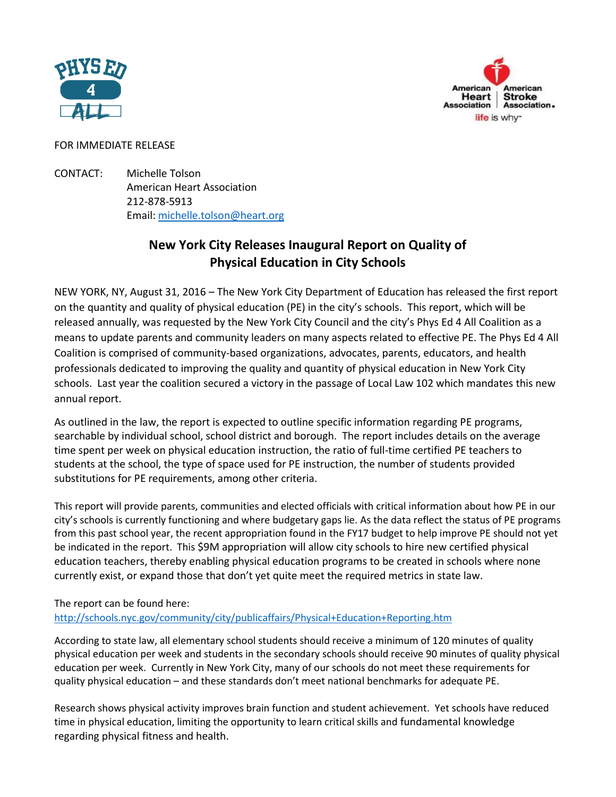



## FOR IMMEDIATE RELEASE

CONTACT: Michelle Tolson American Heart Association 212-878-5913 Email: [michelle.tolson@heart.org](mailto:michelle.tolson@heart.org)

## **New York City Releases Inaugural Report on Quality of Physical Education in City Schools**

NEW YORK, NY, August 31, 2016 – The New York City Department of Education has released the first report on the quantity and quality of physical education (PE) in the city's schools. This report, which will be released annually, was requested by the New York City Council and the city's Phys Ed 4 All Coalition as a means to update parents and community leaders on many aspects related to effective PE. The Phys Ed 4 All Coalition is comprised of community-based organizations, advocates, parents, educators, and health professionals dedicated to improving the quality and quantity of physical education in New York City schools. Last year the coalition secured a victory in the passage of Local Law 102 which mandates this new annual report.

As outlined in the law, the report is expected to outline specific information regarding PE programs, searchable by individual school, school district and borough. The report includes details on the average time spent per week on physical education instruction, the ratio of full-time certified PE teachers to students at the school, the type of space used for PE instruction, the number of students provided substitutions for PE requirements, among other criteria.

This report will provide parents, communities and elected officials with critical information about how PE in our city's schools is currently functioning and where budgetary gaps lie. As the data reflect the status of PE programs from this past school year, the recent appropriation found in the FY17 budget to help improve PE should not yet be indicated in the report. This \$9M appropriation will allow city schools to hire new certified physical education teachers, thereby enabling physical education programs to be created in schools where none currently exist, or expand those that don't yet quite meet the required metrics in state law.

## The report can be found here:

## <http://schools.nyc.gov/community/city/publicaffairs/Physical+Education+Reporting.htm>

According to state law, all elementary school students should receive a minimum of 120 minutes of quality physical education per week and students in the secondary schools should receive 90 minutes of quality physical education per week. Currently in New York City, many of our schools do not meet these requirements for quality physical education – and these standards don't meet national benchmarks for adequate PE.

Research shows physical activity improves brain function and student achievement. Yet schools have reduced time in physical education, limiting the opportunity to learn critical skills and fundamental knowledge regarding physical fitness and health.